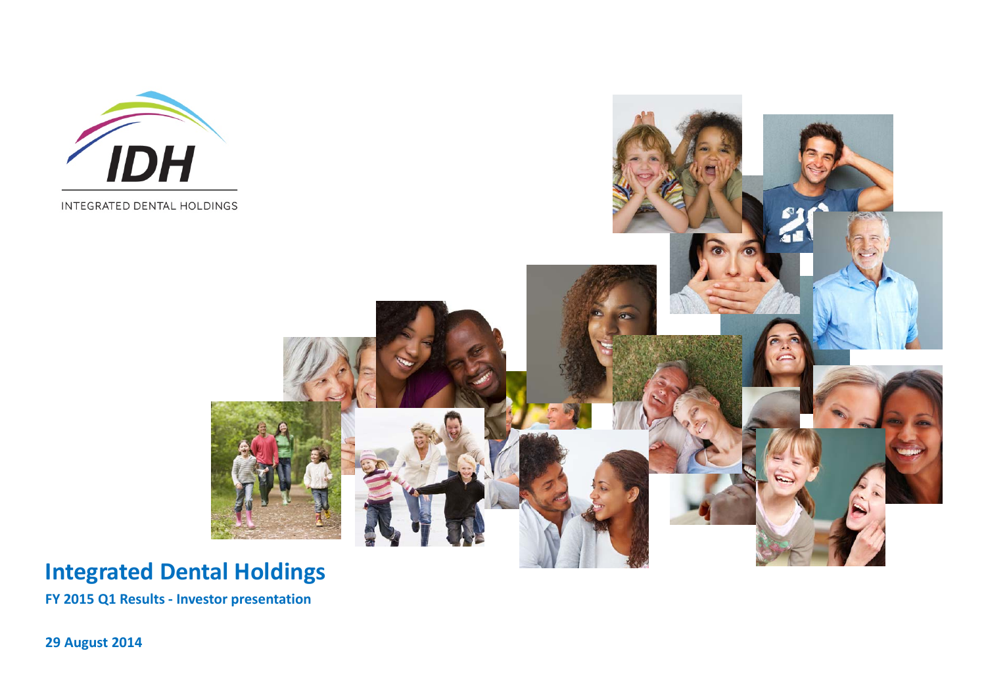

INTEGRATED DENTAL HOLDINGS



# **Integrated Dental Holdings**

**FY 2015 Q1 Results ‐ Investor presentation**

**29 August 2014**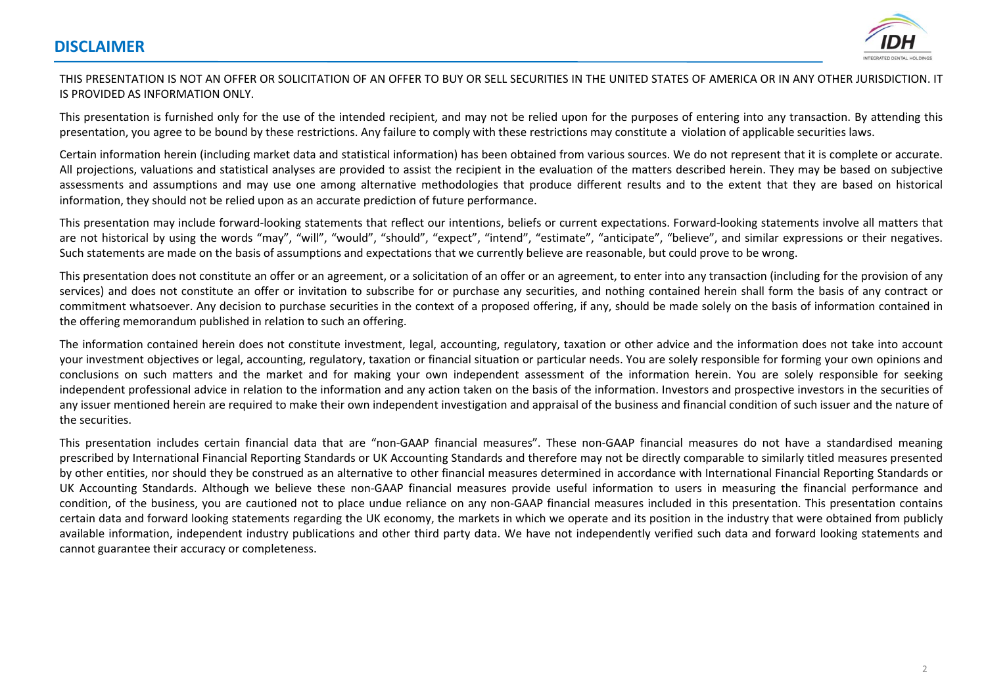

#### THIS PRESENTATION IS NOT AN OFFER OR SOLICITATION OF AN OFFER TO BUY OR SELL SECURITIES IN THE UNITED STATES OF AMERICA OR IN ANY OTHER JURISDICTION. ITIS PROVIDED AS INFORMATION ONLY.

This presentation is furnished only for the use of the intended recipient, and may not be relied upon for the purposes of entering into any transaction. By attending this presentation, you agree to be bound by these restrictions. Any failure to comply with these restrictions may constitute <sup>a</sup> violation of applicable securities laws.

Certain information herein (including market data and statistical information) has been obtained from various sources. We do not represent that it is complete or accurate. All projections, valuations and statistical analyses are provided to assist the recipient in the evaluation of the matters described herein. They may be based on subjective assessments and assumptions and may use one among alternative methodologies that produce different results and to the extent that they are based on historical information, they should not be relied upon as an accurate prediction of future performance.

This presentation may include forward‐looking statements that reflect our intentions, beliefs or current expectations. Forward‐looking statements involve all matters that are not historical by using the words "may", "will", "would", "should", "expect", "intend", "estimate", "anticipate", "believe", and similar expressions or their negatives. Such statements are made on the basis of assumptions and expectations that we currently believe are reasonable, but could prove to be wrong.

This presentation does not constitute an offer or an agreement, or <sup>a</sup> solicitation of an offer or an agreement, to enter into any transaction (including for the provision of any services) and does not constitute an offer or invitation to subscribe for or purchase any securities, and nothing contained herein shall form the basis of any contract or commitment whatsoever. Any decision to purchase securities in the context of <sup>a</sup> proposed offering, if any, should be made solely on the basis of information contained in the offering memorandum published in relation to such an offering.

The information contained herein does not constitute investment, legal, accounting, regulatory, taxation or other advice and the information does not take into account your investment objectives or legal, accounting, regulatory, taxation or financial situation or particular needs. You are solely responsible for forming your own opinions and conclusions on such matters and the market and for making your own independent assessment of the information herein. You are solely responsible for seeking independent professional advice in relation to the information and any action taken on the basis of the information. Investors and prospective investors in the securities of any issuer mentioned herein are required to make their own independent investigation and appraisal of the business and financial condition of such issuer and the nature of the securities.

This presentation includes certain financial data that are "non‐GAAP financial measures". These non‐GAAP financial measures do not have <sup>a</sup> standardised meaning prescribed by International Financial Reporting Standards or UK Accounting Standards and therefore may not be directly comparable to similarly titled measures presented by other entities, nor should they be construed as an alternative to other financial measures determined in accordance with International Financial Reporting Standards or UK Accounting Standards. Although we believe these non‐GAAP financial measures provide useful information to users in measuring the financial performance and condition, of the business, you are cautioned not to place undue reliance on any non‐GAAP financial measures included in this presentation. This presentation contains certain data and forward looking statements regarding the UK economy, the markets in which we operate and its position in the industry that were obtained from publicly available information, independent industry publications and other third party data. We have not independently verified such data and forward looking statements and cannot guarantee their accuracy or completeness.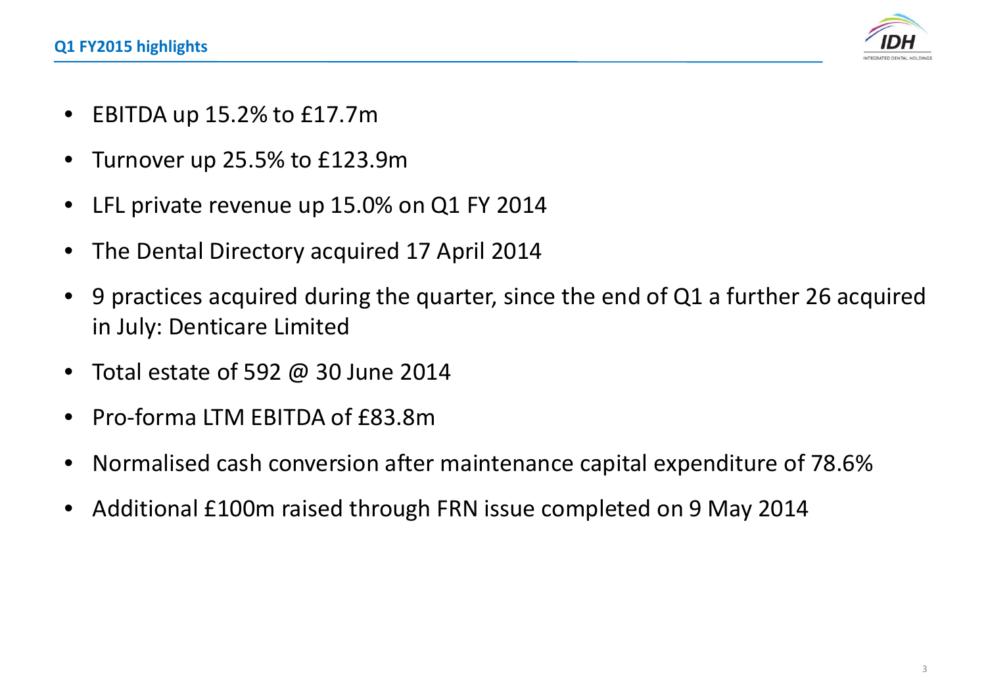

- •EBITDA up 15.2% to £17.7m
- •Turnover up 25.5% to £123.9m
- •LFL private revenue up 15.0% on Q1 FY 2014
- •The Dental Directory acquired 17 April 2014
- • 9 practices acquired during the quarter, since the end of Q1 <sup>a</sup> further 26 acquired in July: Denticare Limited
- •Total estate of 592 @ 30 June 2014
- •● Pro-forma LTM EBITDA of £83.8m
- •Normalised cash conversion after maintenance capital expenditure of 78.6%
- •Additional £100m raised through FRN issue completed on 9 May 2014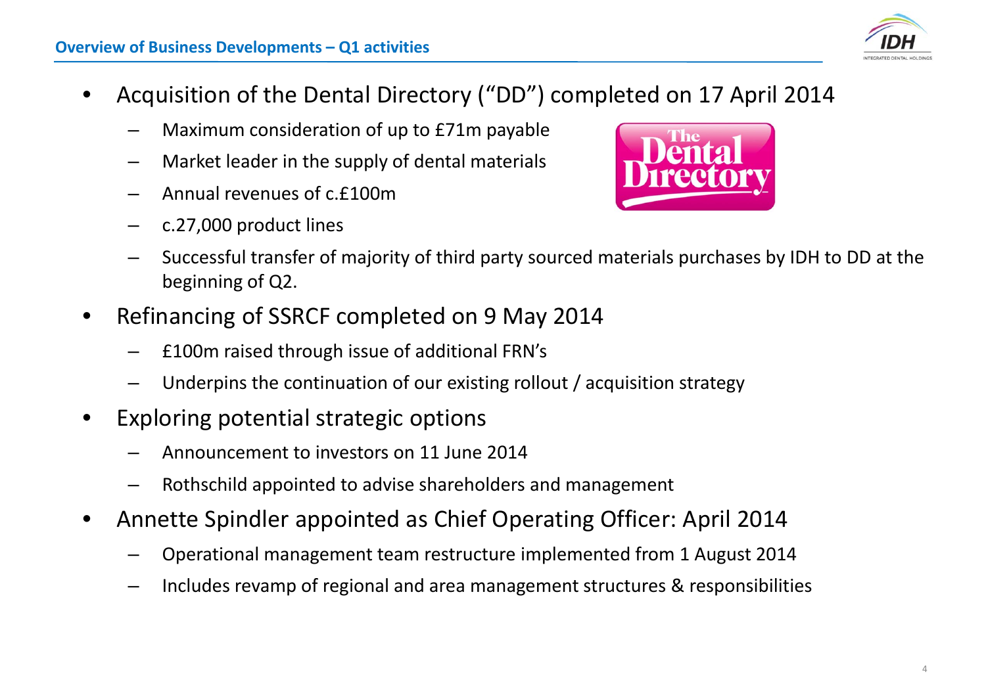4

# **Overview of Business Developments – Q1 activities**

- • Acquisition of the Dental Directory ("DD") completed on 17 April 2014
	- –Maximum consideration of up to £71m payable
	- –Market leader in the supply of dental materials
	- –Annual revenues of c.£100m
	- –c.27,000 product lines
	- – Successful transfer of majority of third party sourced materials purchases by IDH to DD at the beginning of Q2.
- • Refinancing of SSRCF completed on 9 May 2014
	- –£100m raised through issue of additional FRN's
	- –Underpins the continuation of our existing rollout / acquisition strategy
- $\bullet$  Exploring potential strategic options
	- –Announcement to investors on 11 June 2014
	- Rothschild appointed to advise shareholders and management
- • Annette Spindler appointed as Chief Operating Officer: April 2014
	- –Operational management team restructure implemented from 1 August 2014
	- –Includes revamp of regional and area management structures & responsibilities



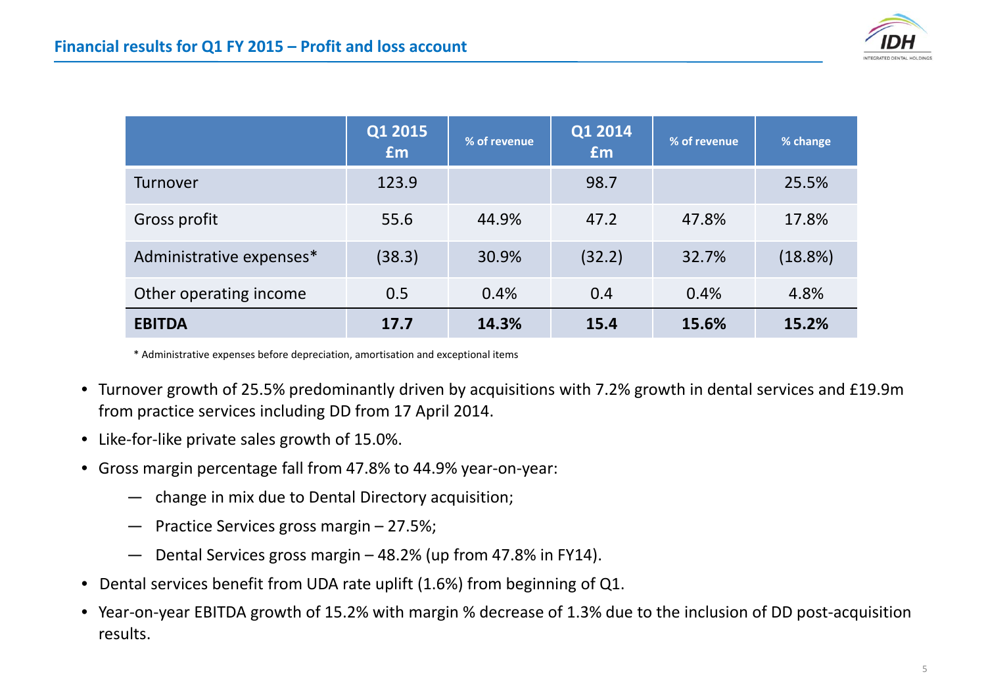|                          | Q1 2015<br>Em | % of revenue | Q1 2014<br><b>fm</b> | % of revenue | % change |
|--------------------------|---------------|--------------|----------------------|--------------|----------|
| <b>Turnover</b>          | 123.9         |              | 98.7                 |              | 25.5%    |
| Gross profit             | 55.6          | 44.9%        | 47.2                 | 47.8%        | 17.8%    |
| Administrative expenses* | (38.3)        | 30.9%        | (32.2)               | 32.7%        | (18.8%)  |
| Other operating income   | 0.5           | 0.4%         | 0.4                  | 0.4%         | 4.8%     |
| <b>EBITDA</b>            | 17.7          | 14.3%        | 15.4                 | 15.6%        | 15.2%    |

\* Administrative expenses before depreciation, amortisation and exceptional items

- Turnover growth of 25.5% predominantly driven by acquisitions with 7.2% growth in dental services and £19.9m from practice services including DD from 17 April 2014.
- Like‐for‐like private sales growth of 15.0%.
- $\bullet$  Gross margin percentage fall from 47.8% to 44.9% year‐on‐year:
	- ― change in mix due to Dental Directory acquisition;
	- ― Practice Services gross margin 27.5%;
	- ―Dental Services gross margin – 48.2% (up from 47.8% in FY14).
- Dental services benefit from UDA rate uplift (1.6%) from beginning of Q1.
- Year‐on‐year EBITDA growth of 15.2% with margin % decrease of 1.3% due to the inclusion of DD post‐acquisition results.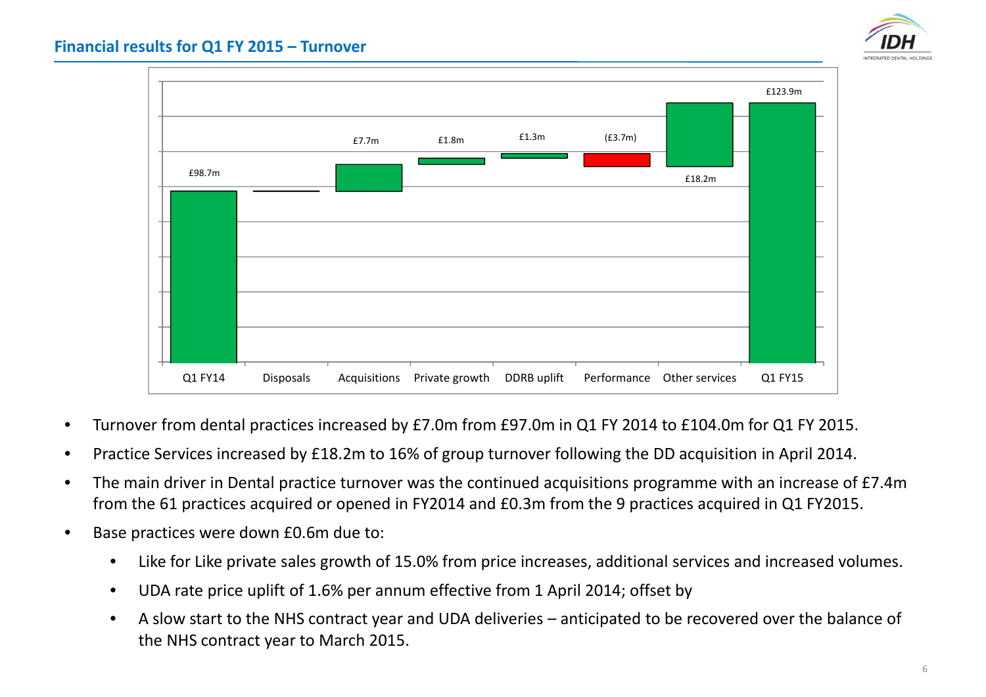



- •Turnover from dental practices increased by £7.0m from £97.0m in Q1 FY 2014 to £104.0m for Q1 FY 2015.
- •Practice Services increased by £18.2m to 16% of group turnover following the DD acquisition in April 2014.
- • The main driver in Dental practice turnover was the continued acquisitions programme with an increase of £7.4m from the 61 practices acquired or opened in FY2014 and £0.3m from the 9 practices acquired in Q1 FY2015.
- •**Base practices were down £0.6m due to:** 
	- •Like for Like private sales growth of 15.0% from price increases, additional services and increased volumes.
	- •UDA rate price uplift of 1.6% per annum effective from 1 April 2014; offset by
	- • A slow start to the NHS contract year and UDA deliveries – anticipated to be recovered over the balance of the NHS contract year to March 2015.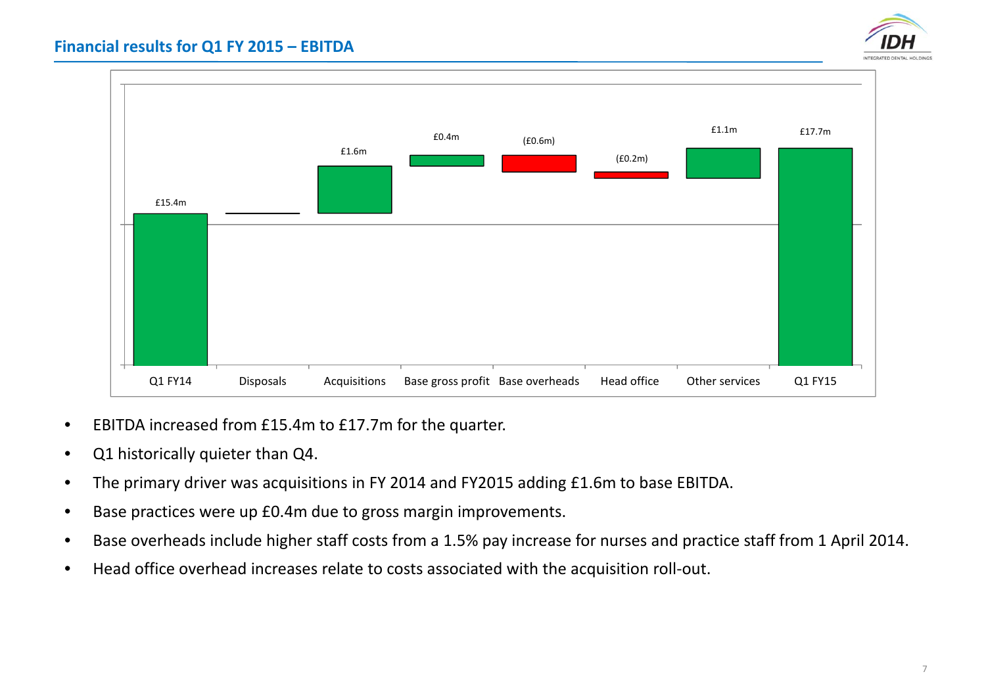

## **Financial results for Q1 FY 2015 – EBITDA**

- Q1 FY14 Disposals Acquisitions Base gross profit Base overheads Head office Other services Q1 FY15 £15.4m £1.6m£0.4m (£0.6m) (£0.2m) £1.1m£17.7m
- •EBITDA increased from £15.4m to £17.7m for the quarter.
- $\bullet$ Q1 historically quieter than Q4.
- •The primary driver was acquisitions in FY 2014 and FY2015 adding £1.6m to base EBITDA.
- •Base practices were up £0.4m due to gross margin improvements.
- •Base overheads include higher staff costs from <sup>a</sup> 1.5% pay increase for nurses and practice staff from 1 April 2014.
- •● Head office overhead increases relate to costs associated with the acquisition roll-out.

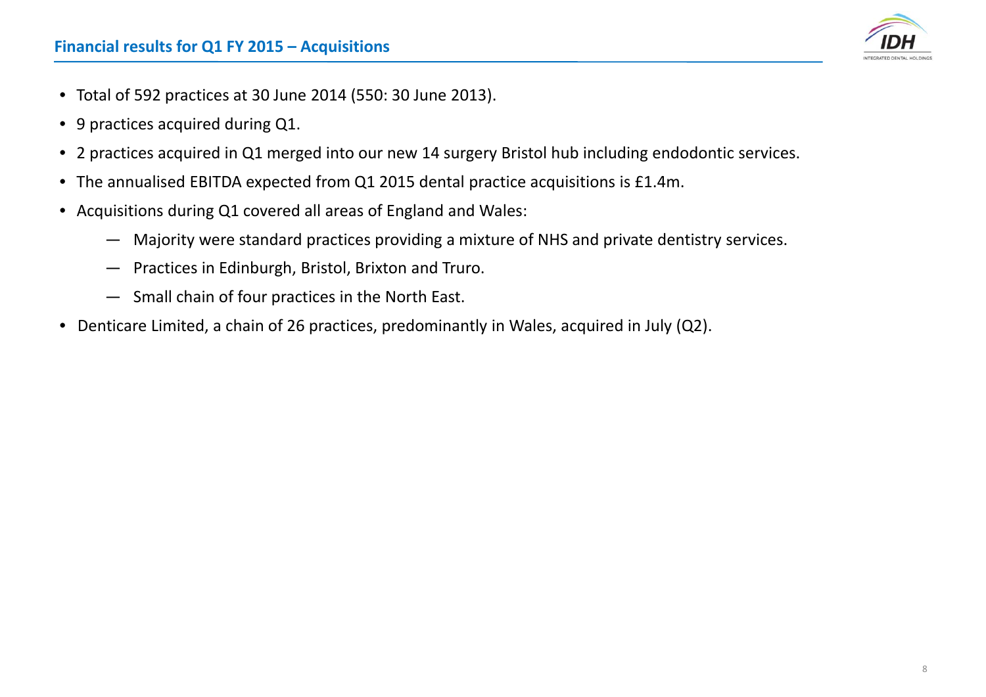

- Total of 592 practices at 30 June 2014 (550: 30 June 2013).
- 9 practices acquired during Q1.
- 2 practices acquired in Q1 merged into our new 14 surgery Bristol hub including endodontic services.
- The annualised EBITDA expected from Q1 2015 dental practice acquisitions is £1.4m.
- Acquisitions during Q1 covered all areas of England and Wales:
	- ― Majority were standard practices providing <sup>a</sup> mixture of NHS and private dentistry services.
	- ― Practices in Edinburgh, Bristol, Brixton and Truro.
	- ― Small chain of four practices in the North East.
- Denticare Limited, <sup>a</sup> chain of 26 practices, predominantly in Wales, acquired in July (Q2).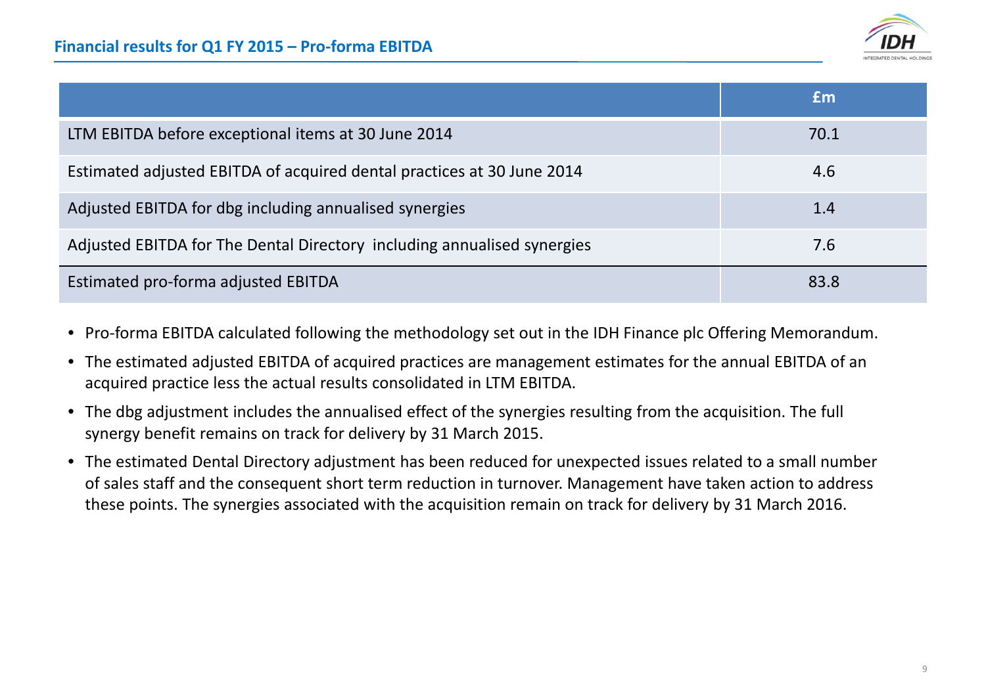

|                                                                         | Em   |
|-------------------------------------------------------------------------|------|
| LTM EBITDA before exceptional items at 30 June 2014                     | 70.1 |
| Estimated adjusted EBITDA of acquired dental practices at 30 June 2014  | 4.6  |
| Adjusted EBITDA for dbg including annualised synergies                  | 1.4  |
| Adjusted EBITDA for The Dental Directory including annualised synergies | 7.6  |
| Estimated pro-forma adjusted EBITDA                                     | 83.8 |

- Pro‐forma EBITDA calculated following the methodology set out in the IDH Finance plc Offering Memorandum.
- The estimated adjusted EBITDA of acquired practices are management estimates for the annual EBITDA of an acquired practice less the actual results consolidated in LTM EBITDA.
- The dbg adjustment includes the annualised effect of the synergies resulting from the acquisition. The full synergy benefit remains on track for delivery by 31 March 2015.
- The estimated Dental Directory adjustment has been reduced for unexpected issues related to <sup>a</sup> small number of sales staff and the consequent short term reduction in turnover. Management have taken action to address these points. The synergies associated with the acquisition remain on track for delivery by 31 March 2016.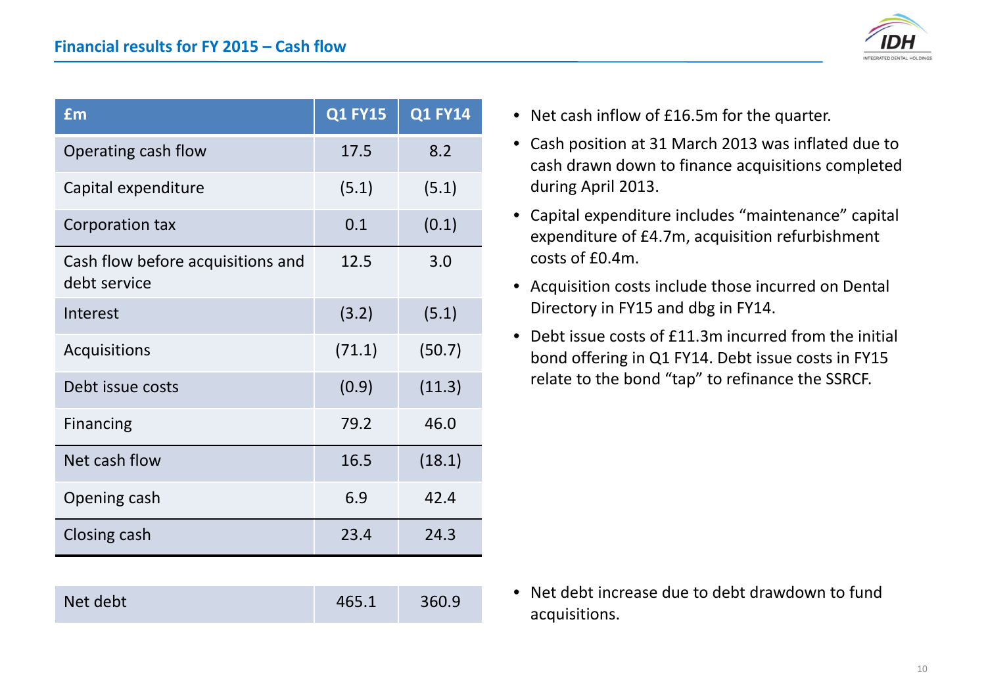

| £m                                                | <b>Q1 FY15</b> | <b>Q1 FY14</b> |
|---------------------------------------------------|----------------|----------------|
| Operating cash flow                               | 17.5           | 8.2            |
| Capital expenditure                               | (5.1)          | (5.1)          |
| Corporation tax                                   | 0.1            | (0.1)          |
| Cash flow before acquisitions and<br>debt service | 12.5           | 3.0            |
| Interest                                          | (3.2)          | (5.1)          |
| Acquisitions                                      | (71.1)         | (50.7)         |
| Debt issue costs                                  | (0.9)          | (11.3)         |
| <b>Financing</b>                                  | 79.2           | 46.0           |
| Net cash flow                                     | 16.5           | (18.1)         |
| Opening cash                                      | 6.9            | 42.4           |
| Closing cash                                      | 23.4           | 24.3           |

- Net cash inflow of £16.5m for the quarter.
- Cash position at 31 March 2013 was inflated due to cash drawn down to finance acquisitions completed during April 2013.
- Capital expenditure includes "maintenance" capital expenditure of £4.7m, acquisition refurbishment costs of £0.4m.
- Acquisition costs include those incurred on Dental Directory in FY15 and dbg in FY14.
- Debt issue costs of £11.3m incurred from the initial bond offering in Q1 FY14. Debt issue costs in FY15 relate to the bond "tap" to refinance the SSRCF.

- Net debt debt 465.1 360.9
- Net debt increase due to debt drawdown to fund acquisitions.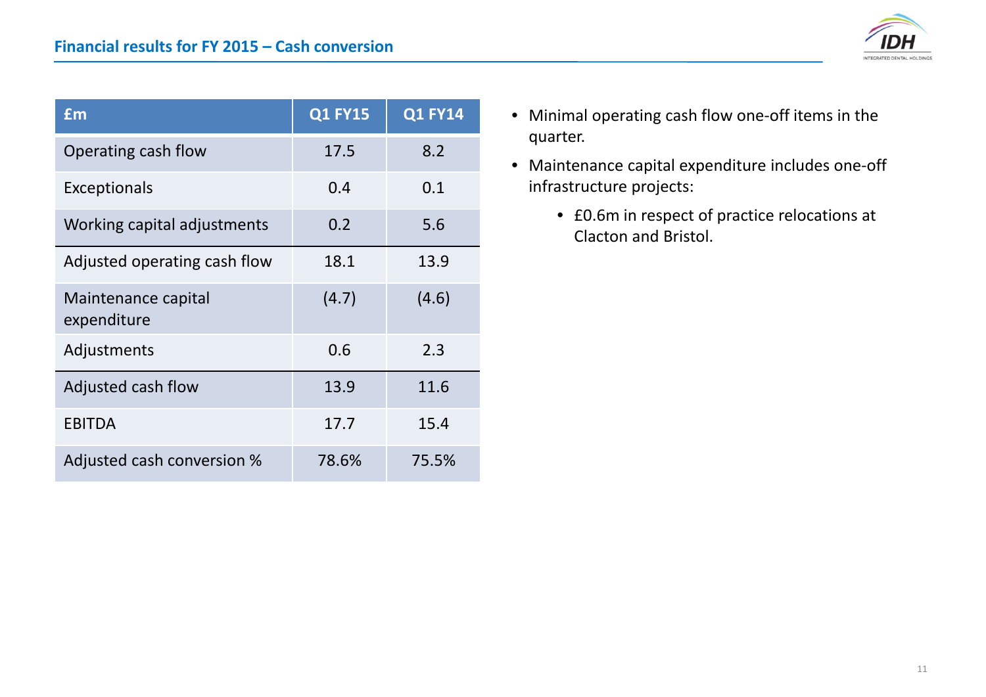

| £m                                 | <b>Q1 FY15</b> | <b>Q1 FY14</b> |
|------------------------------------|----------------|----------------|
| Operating cash flow                | 17.5           | 8.2            |
| <b>Exceptionals</b>                | 0.4            | 0.1            |
| Working capital adjustments        | 0.2            | 5.6            |
| Adjusted operating cash flow       | 18.1           | 13.9           |
| Maintenance capital<br>expenditure | (4.7)          | (4.6)          |
| Adjustments                        | 0.6            | 2.3            |
| Adjusted cash flow                 | 13.9           | 11.6           |
| <b>EBITDA</b>                      | 17.7           | 15.4           |
| Adjusted cash conversion %         | 78.6%          | 75.5%          |

- Minimal operating cash flow one‐off items in the quarter.
- Maintenance capital expenditure includes one‐off infrastructure projects:
	- £0.6m in respect of practice relocations at Clacton and Bristol.